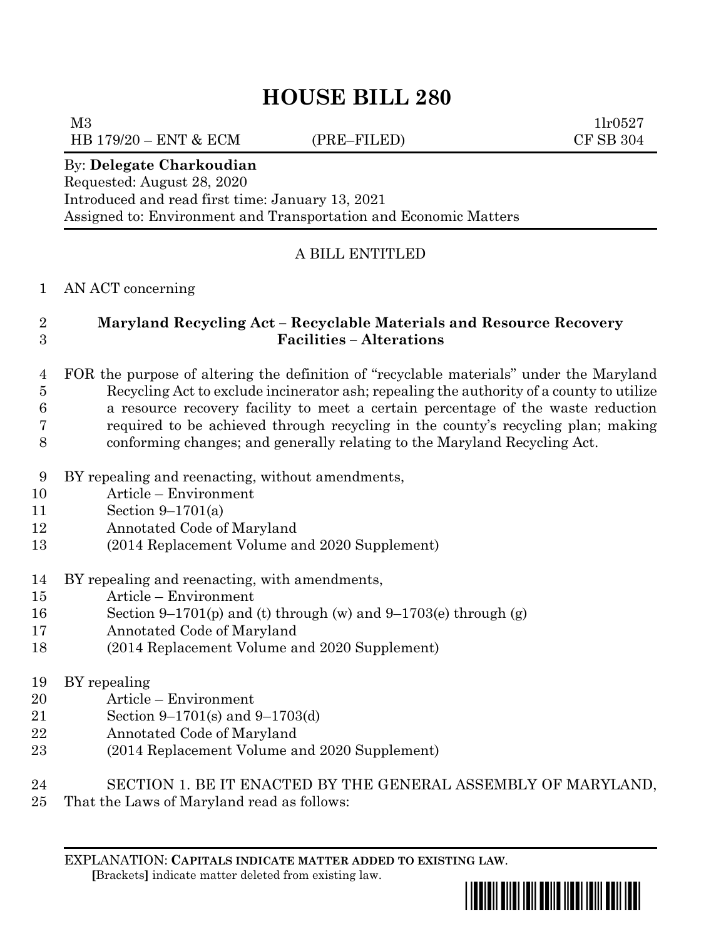# **HOUSE BILL 280**

HB 179/20 – ENT & ECM (PRE–FILED) CF SB 304

 $M3$  1lr0527

#### By: **Delegate Charkoudian**

Requested: August 28, 2020 Introduced and read first time: January 13, 2021 Assigned to: Environment and Transportation and Economic Matters

### A BILL ENTITLED

#### AN ACT concerning

## **Maryland Recycling Act – Recyclable Materials and Resource Recovery Facilities – Alterations**

- FOR the purpose of altering the definition of "recyclable materials" under the Maryland Recycling Act to exclude incinerator ash; repealing the authority of a county to utilize a resource recovery facility to meet a certain percentage of the waste reduction required to be achieved through recycling in the county's recycling plan; making conforming changes; and generally relating to the Maryland Recycling Act.
- BY repealing and reenacting, without amendments,
- Article Environment
- Section 9–1701(a)
- Annotated Code of Maryland
- (2014 Replacement Volume and 2020 Supplement)
- BY repealing and reenacting, with amendments,
- Article Environment
- 16 Section 9–1701(p) and (t) through (w) and 9–1703(e) through (g)
- Annotated Code of Maryland
- (2014 Replacement Volume and 2020 Supplement)
- BY repealing
- Article Environment
- Section 9–1701(s) and 9–1703(d)
- Annotated Code of Maryland
- (2014 Replacement Volume and 2020 Supplement)
- SECTION 1. BE IT ENACTED BY THE GENERAL ASSEMBLY OF MARYLAND,
- That the Laws of Maryland read as follows:

EXPLANATION: **CAPITALS INDICATE MATTER ADDED TO EXISTING LAW**.  **[**Brackets**]** indicate matter deleted from existing law.

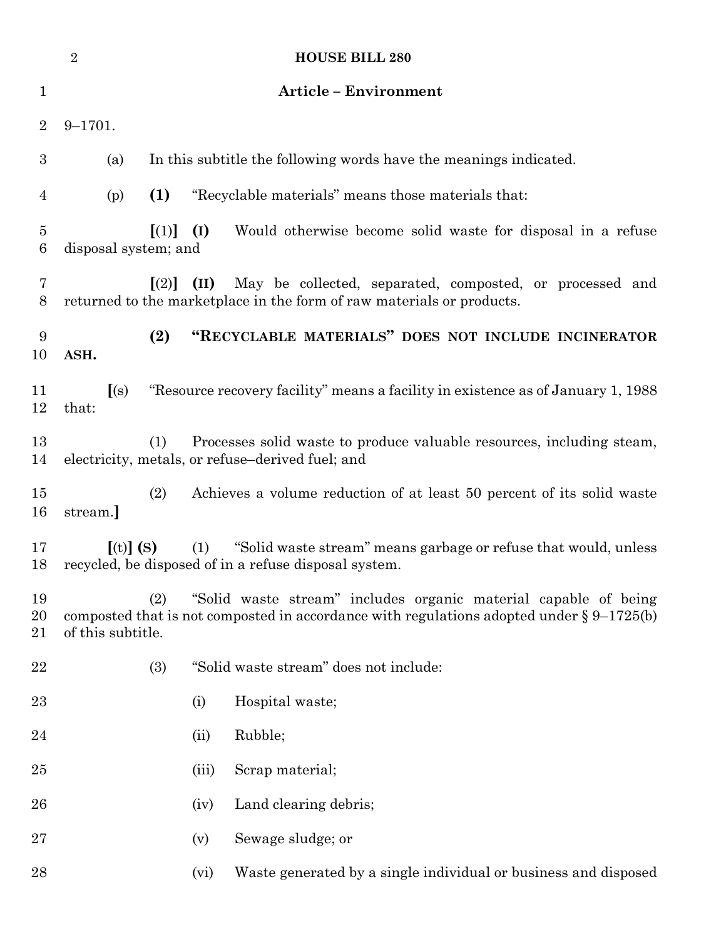|                  | $\sqrt{2}$                                                                                                                                                                                 |                                                                                                                                                                  |       | <b>HOUSE BILL 280</b>                                                            |  |
|------------------|--------------------------------------------------------------------------------------------------------------------------------------------------------------------------------------------|------------------------------------------------------------------------------------------------------------------------------------------------------------------|-------|----------------------------------------------------------------------------------|--|
| $\mathbf{1}$     | <b>Article - Environment</b>                                                                                                                                                               |                                                                                                                                                                  |       |                                                                                  |  |
| $\overline{2}$   | $9 - 1701.$                                                                                                                                                                                |                                                                                                                                                                  |       |                                                                                  |  |
| $\boldsymbol{3}$ | (a)                                                                                                                                                                                        |                                                                                                                                                                  |       | In this subtitle the following words have the meanings indicated.                |  |
| 4                | (p)                                                                                                                                                                                        | (1)                                                                                                                                                              |       | "Recyclable materials" means those materials that:                               |  |
| 5<br>6           | disposal system; and                                                                                                                                                                       | $\left[ (1) \right]$                                                                                                                                             | (I)   | Would otherwise become solid waste for disposal in a refuse                      |  |
| 7<br>8           |                                                                                                                                                                                            | (II)<br>May be collected, separated, composted, or processed and<br>$\lceil (2) \rceil$<br>returned to the marketplace in the form of raw materials or products. |       |                                                                                  |  |
| 9<br>10          | ASH.                                                                                                                                                                                       | (2)                                                                                                                                                              |       | "RECYCLABLE MATERIALS" DOES NOT INCLUDE INCINERATOR                              |  |
| 11<br>12         | (s)<br>that:                                                                                                                                                                               |                                                                                                                                                                  |       | "Resource recovery facility" means a facility in existence as of January 1, 1988 |  |
| 13<br>14         |                                                                                                                                                                                            | Processes solid waste to produce valuable resources, including steam,<br>(1)<br>electricity, metals, or refuse–derived fuel; and                                 |       |                                                                                  |  |
| 15<br>16         | stream.]                                                                                                                                                                                   | (2)                                                                                                                                                              |       | Achieves a volume reduction of at least 50 percent of its solid waste            |  |
| 17<br>18         | [(t)](s)<br>(1)<br>"Solid waste stream" means garbage or refuse that would, unless<br>recycled, be disposed of in a refuse disposal system.                                                |                                                                                                                                                                  |       |                                                                                  |  |
| 19<br>20<br>21   | "Solid waste stream" includes organic material capable of being<br>(2)<br>composted that is not composted in accordance with regulations adopted under $\S 9-1725(b)$<br>of this subtitle. |                                                                                                                                                                  |       |                                                                                  |  |
| 22               |                                                                                                                                                                                            | (3)                                                                                                                                                              |       | "Solid waste stream" does not include:                                           |  |
| 23               |                                                                                                                                                                                            |                                                                                                                                                                  | (i)   | Hospital waste;                                                                  |  |
| 24               |                                                                                                                                                                                            |                                                                                                                                                                  | (ii)  | Rubble;                                                                          |  |
| $25\,$           |                                                                                                                                                                                            |                                                                                                                                                                  | (iii) | Scrap material;                                                                  |  |
| 26               |                                                                                                                                                                                            |                                                                                                                                                                  | (iv)  | Land clearing debris;                                                            |  |
| $27\,$           |                                                                                                                                                                                            |                                                                                                                                                                  | (v)   | Sewage sludge; or                                                                |  |
| 28               |                                                                                                                                                                                            |                                                                                                                                                                  | (vi)  | Waste generated by a single individual or business and disposed                  |  |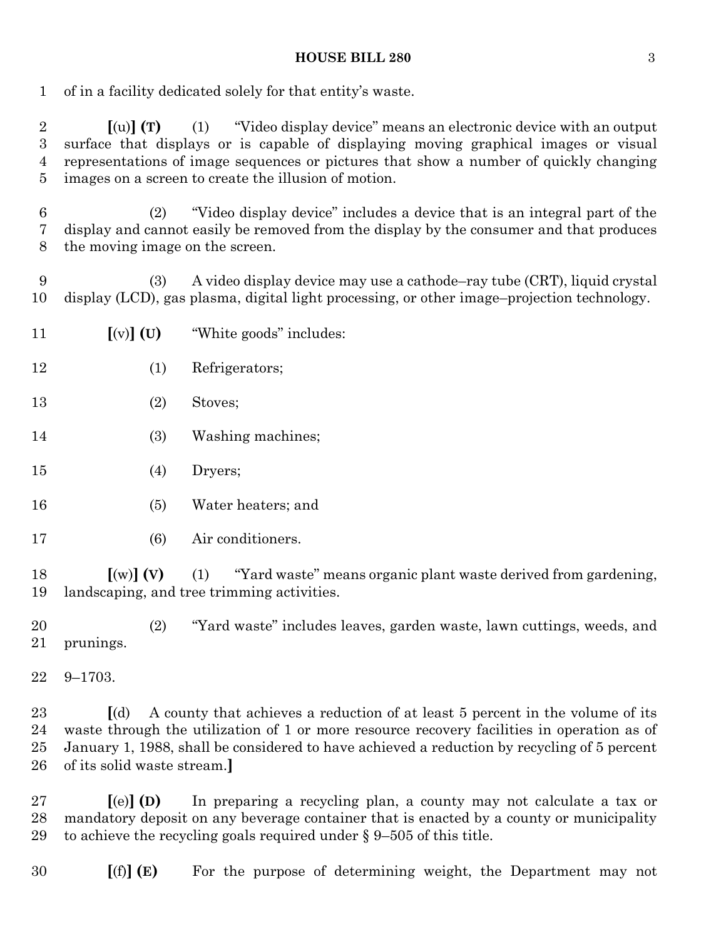of in a facility dedicated solely for that entity's waste.

 **[**(u)**] (T)** (1) "Video display device" means an electronic device with an output surface that displays or is capable of displaying moving graphical images or visual representations of image sequences or pictures that show a number of quickly changing images on a screen to create the illusion of motion.

 (2) "Video display device" includes a device that is an integral part of the display and cannot easily be removed from the display by the consumer and that produces the moving image on the screen.

 (3) A video display device may use a cathode–ray tube (CRT), liquid crystal display (LCD), gas plasma, digital light processing, or other image–projection technology.

- **[**(v)**] (U)** "White goods" includes:
- (1) Refrigerators;
- (2) Stoves;
- (3) Washing machines;
- (4) Dryers;
- (5) Water heaters; and
- (6) Air conditioners.

 **[**(w)**] (V)** (1) "Yard waste" means organic plant waste derived from gardening, landscaping, and tree trimming activities.

 (2) "Yard waste" includes leaves, garden waste, lawn cuttings, weeds, and prunings.

9–1703.

 **[**(d) A county that achieves a reduction of at least 5 percent in the volume of its waste through the utilization of 1 or more resource recovery facilities in operation as of January 1, 1988, shall be considered to have achieved a reduction by recycling of 5 percent of its solid waste stream.**]**

 **[**(e)**] (D)** In preparing a recycling plan, a county may not calculate a tax or mandatory deposit on any beverage container that is enacted by a county or municipality to achieve the recycling goals required under § 9–505 of this title.

**[**(f)**] (E)** For the purpose of determining weight, the Department may not